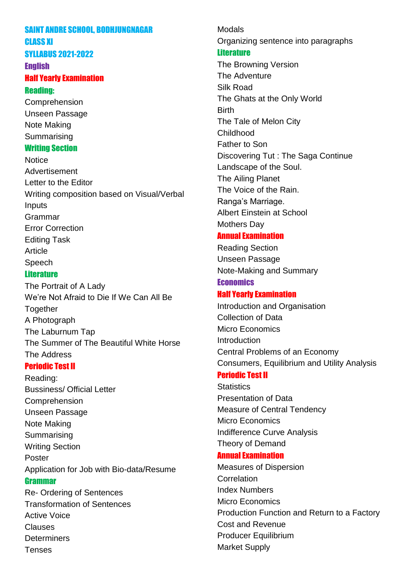# SAINT ANDRE SCHOOL, BODHJUNGNAGAR CLASS XI

#### SYLLABUS 2021-2022 **English**

# Half Yearly Examination Reading:

Comprehension Unseen Passage Note Making **Summarising** Writing Section

# **Notice**

Advertisement Letter to the Editor Writing composition based on Visual/Verbal Inputs Grammar Error Correction Editing Task Article Speech

#### **Literature**

The Portrait of A Lady We're Not Afraid to Die If We Can All Be Together A Photograph The Laburnum Tap The Summer of The Beautiful White Horse The Address

## Periodic Test II

Reading: Bussiness/ Official Letter Comprehension Unseen Passage Note Making **Summarising** Writing Section Poster Application for Job with Bio-data/Resume

## Grammar

Re- Ordering of Sentences Transformation of Sentences Active Voice Clauses **Determiners** Tenses

# Modals

Organizing sentence into paragraphs

# **Literature**

The Browning Version The Adventure Silk Road The Ghats at the Only World Birth The Tale of Melon City Childhood Father to Son Discovering Tut : The Saga Continue Landscape of the Soul. The Ailing Planet The Voice of the Rain. Ranga's Marriage. Albert Einstein at School Mothers Day

## Annual Examination

Reading Section Unseen Passage Note-Making and Summary

# **Economics**

## Half Yearly Examination

Introduction and Organisation Collection of Data Micro Economics Introduction Central Problems of an Economy Consumers, Equilibrium and Utility Analysis

# Periodic Test II

**Statistics** Presentation of Data Measure of Central Tendency Micro Economics Indifference Curve Analysis Theory of Demand

### Annual Examination

Measures of Dispersion **Correlation** Index Numbers Micro Economics Production Function and Return to a Factory Cost and Revenue Producer Equilibrium Market Supply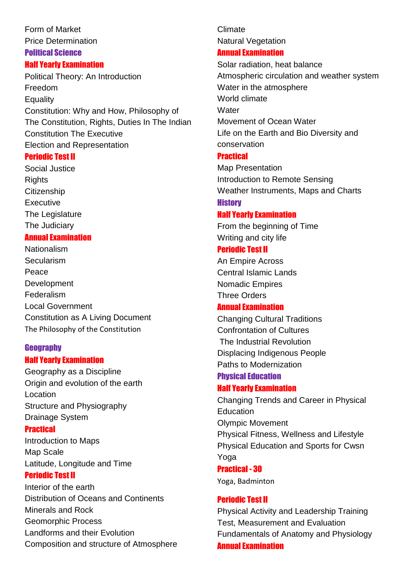Form of Market Price Determination Political Science

#### Half Yearly Examination

Political Theory: An Introduction Freedom Equality Constitution: Why and How, Philosophy of The Constitution, Rights, Duties In The Indian Constitution The Executive Election and Representation

#### Periodic Test II

Social Justice **Rights Citizenship Executive** The Legislature The Judiciary

## Annual Examination

Nationalism Secularism Peace Development Federalism Local Government Constitution as A Living Document The Philosophy of the Constitution

# **Geography**

## Half Yearly Examination

Geography as a Discipline Origin and evolution of the earth Location Structure and Physiography Drainage System

#### Practical

Introduction to Maps Map Scale Latitude, Longitude and Time

## Periodic Test II

Interior of the earth Distribution of Oceans and Continents Minerals and Rock Geomorphic Process Landforms and their Evolution Composition and structure of Atmosphere

# Climate Natural Vegetation

#### Annual Examination

Solar radiation, heat balance Atmospheric circulation and weather system Water in the atmosphere World climate **Water** Movement of Ocean Water Life on the Earth and Bio Diversity and conservation

# Practical

Map Presentation Introduction to Remote Sensing Weather Instruments, Maps and Charts **History** 

#### Half Yearly Examination

From the beginning of Time Writing and city life

### Periodic Test II

An Empire Across Central Islamic Lands Nomadic Empires Three Orders

#### Annual Examination

Changing Cultural Traditions Confrontation of Cultures The Industrial Revolution Displacing Indigenous People Paths to Modernization

# Physical Education Half Yearly Examination

Changing Trends and Career in Physical **Education** Olympic Movement Physical Fitness, Wellness and Lifestyle Physical Education and Sports for Cwsn Yoga Practical - 30 Yoga, Badminton

### Periodic Test II

Physical Activity and Leadership Training Test, Measurement and Evaluation Fundamentals of Anatomy and Physiology Annual Examination